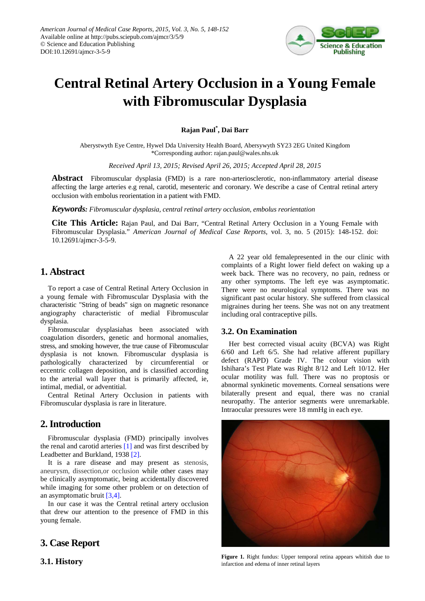

# **Central Retinal Artery Occlusion in a Young Female with Fibromuscular Dysplasia**

**Rajan Paul\* , Dai Barr**

Aberystwyth Eye Centre, Hywel Dda University Health Board, Abersywyth SY23 2EG United Kingdom \*Corresponding author: rajan.paul@wales.nhs.uk

*Received April 13, 2015; Revised April 26, 2015; Accepted April 28, 2015*

**Abstract** Fibromuscular dysplasia (FMD) is a rare non-arteriosclerotic, non-inflammatory arterial disease affecting the large arteries e.g renal, carotid, mesenteric and coronary. We describe a case of Central retinal artery occlusion with embolus reorientation in a patient with FMD.

*Keywords: Fibromuscular dysplasia, central retinal artery occlusion, embolus reorientation*

**Cite This Article:** Rajan Paul, and Dai Barr, "Central Retinal Artery Occlusion in a Young Female with Fibromuscular Dysplasia." *American Journal of Medical Case Reports*, vol. 3, no. 5 (2015): 148-152. doi: 10.12691/ajmcr-3-5-9.

## **1. Abstract**

To report a case of Central Retinal Artery Occlusion in a young female with Fibromuscular Dysplasia with the characteristic "String of beads" sign on magnetic resonance angiography characteristic of medial Fibromuscular dysplasia.

Fibromuscular dysplasiahas been associated with coagulation disorders, genetic and hormonal anomalies, stress, and smoking however, the true cause of Fibromuscular dysplasia is not known. Fibromuscular dysplasia is pathologically characterized by circumferential or eccentric collagen deposition, and is classified according to the arterial wall layer that is primarily affected, ie, intimal, medial, or adventitial.

Central Retinal Artery Occlusion in patients with Fibromuscular dysplasia is rare in literature.

## **2. Introduction**

Fibromuscular dysplasia (FMD) principally involves the renal and carotid arteries [\[1\]](#page-4-0) and was first described by Leadbetter and Burkland, 1938 [\[2\].](#page-4-1)

It is a rare disease and may present as stenosis, aneurysm, dissection,or occlusion while other cases may be clinically asymptomatic, being accidentally discovered while imaging for some other problem or on detection of an asymptomatic bruit [\[3,4\].](#page-4-2)

In our case it was the Central retinal artery occlusion that drew our attention to the presence of FMD in this young female.

## **3. Case Report**

**3.1. History**

A 22 year old femalepresented in the our clinic with complaints of a Right lower field defect on waking up a week back. There was no recovery, no pain, redness or any other symptoms. The left eye was asymptomatic. There were no neurological symptoms. There was no significant past ocular history. She suffered from classical migraines during her teens. She was not on any treatment including oral contraceptive pills.

#### **3.2. On Examination**

Her best corrected visual acuity (BCVA) was Right 6/60 and Left 6/5. She had relative afferent pupillary defect (RAPD) Grade IV. The colour vision with Ishihara's Test Plate was Right 8/12 and Left 10/12. Her ocular motility was full. There was no proptosis or abnormal synkinetic movements. Corneal sensations were bilaterally present and equal, there was no cranial neuropathy. The anterior segments were unremarkable. Intraocular pressures were 18 mmHg in each eye.

<span id="page-0-0"></span>

Figure 1. Right fundus: Upper temporal retina appears whitish due to infarction and edema of inner retinal layers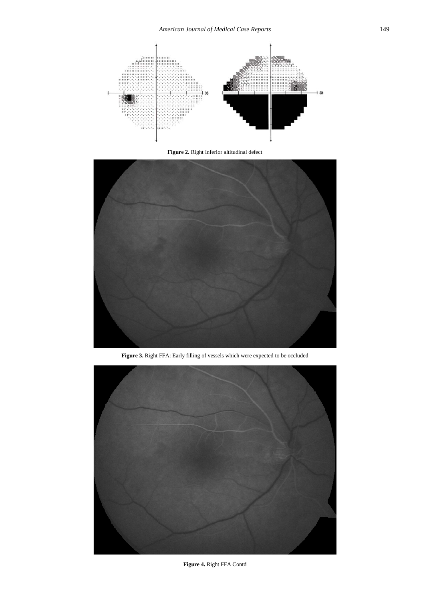<span id="page-1-0"></span>

**Figure 2.** Right Inferior altitudinal defect

<span id="page-1-1"></span>

**Figure 3.** Right FFA: Early filling of vessels which were expected to be occluded



**Figure 4.** Right FFA Contd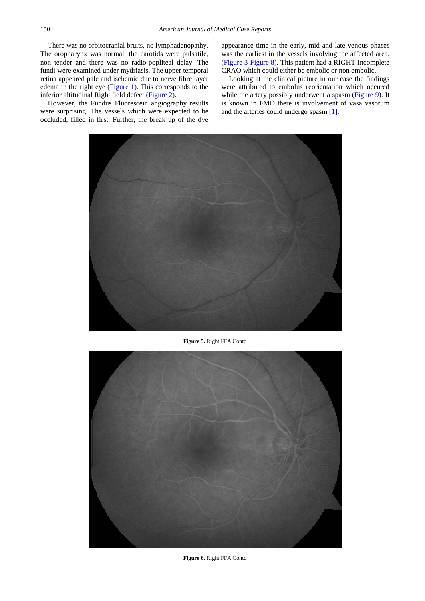There was no orbitocranial bruits, no lymphadenopathy. The oropharynx was normal, the carotids were pulsatile, non tender and there was no radio-popliteal delay. The fundi were examined under mydriasis. The upper temporal retina appeared pale and ischemic due to nerve fibre layer edema in the right eye [\(Figure 1\)](#page-0-0). This corresponds to the inferior altitudinal Right field defect [\(Figure 2\)](#page-1-0).

However, the Fundus Fluorescein angiography results were surprising. The vessels which were expected to be occluded, filled in first. Further, the break up of the dye appearance time in the early, mid and late venous phases was the earliest in the vessels involving the affected area. [\(Figure 3-](#page-1-1)[Figure 8\)](#page-3-0). This patient had a RIGHT Incomplete CRAO which could either be embolic or non embolic.

Looking at the clinical picture in our case the findings were attributed to embolus reorientation which occured while the artery possibly underwent a spasm [\(Figure 9\)](#page-4-3). It is known in FMD there is involvement of vasa vasorum and the arteries could undergo spasm [\[1\].](#page-4-0)



**Figure 5.** Right FFA Contd



**Figure 6.** Right FFA Contd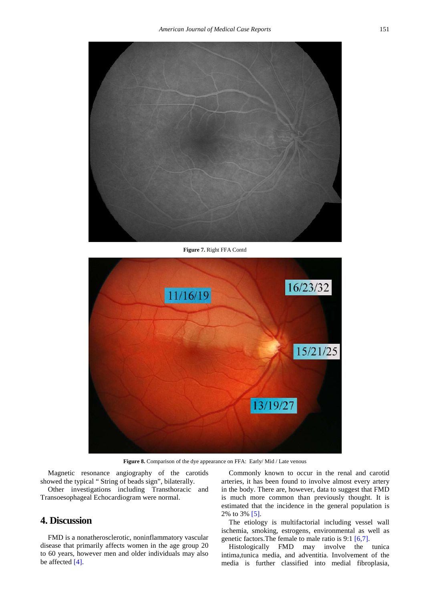

**Figure 7.** Right FFA Contd

<span id="page-3-0"></span>

**Figure 8.** Comparison of the dye appearance on FFA: Early/ Mid / Late venous

Magnetic resonance angiography of the carotids showed the typical " String of beads sign", bilaterally.

Other investigations including Transthoracic and Transoesophageal Echocardiogram were normal.

#### **4. Discussion**

FMD is a nonatherosclerotic, noninflammatory vascular disease that primarily affects women in the age group 20 to 60 years, however men and older individuals may also be affected [\[4\].](#page-4-4)

Commonly known to occur in the renal and carotid arteries, it has been found to involve almost every artery in the body. There are, however, data to suggest that FMD is much more common than previously thought. It is estimated that the incidence in the general population is 2% to 3% [\[5\].](#page-4-5)

The etiology is multifactorial including vessel wall ischemia, smoking, estrogens, environmental as well as genetic factors.The female to male ratio is 9:1 [\[6,7\].](#page-4-6)

Histologically FMD may involve the tunica intima,tunica media, and adventitia. Involvement of the media is further classified into medial fibroplasia,